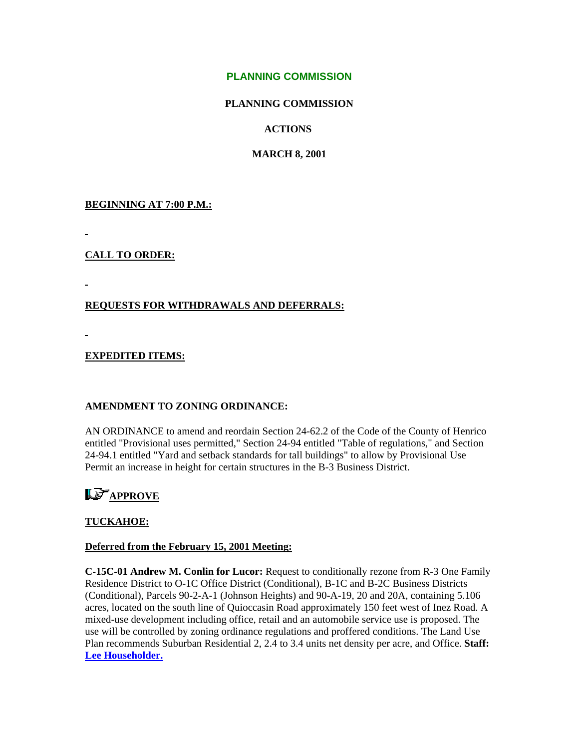#### **PLANNING COMMISSION**

#### **PLANNING COMMISSION**

#### **ACTIONS**

#### **MARCH 8, 2001**

#### **BEGINNING AT 7:00 P.M.:**

#### **CALL TO ORDER:**

#### **REQUESTS FOR WITHDRAWALS AND DEFERRALS:**

#### **EXPEDITED ITEMS:**

#### **AMENDMENT TO ZONING ORDINANCE:**

AN ORDINANCE to amend and reordain Section 24-62.2 of the Code of the County of Henrico entitled "Provisional uses permitted," Section 24-94 entitled "Table of regulations," and Section 24-94.1 entitled "Yard and setback standards for tall buildings" to allow by Provisional Use Permit an increase in height for certain structures in the B-3 Business District.

# **Le** APPROVE

#### **TUCKAHOE:**

#### **Deferred from the February 15, 2001 Meeting:**

**C-15C-01 Andrew M. Conlin for Lucor:** Request to conditionally rezone from R-3 One Family Residence District to O-1C Office District (Conditional), B-1C and B-2C Business Districts (Conditional), Parcels 90-2-A-1 (Johnson Heights) and 90-A-19, 20 and 20A, containing 5.106 acres, located on the south line of Quioccasin Road approximately 150 feet west of Inez Road. A mixed-use development including office, retail and an automobile service use is proposed. The use will be controlled by zoning ordinance regulations and proffered conditions. The Land Use Plan recommends Suburban Residential 2, 2.4 to 3.4 units net density per acre, and Office. **Staff: [Lee Householder.](mailto:hou10@co.henrico.va.us)**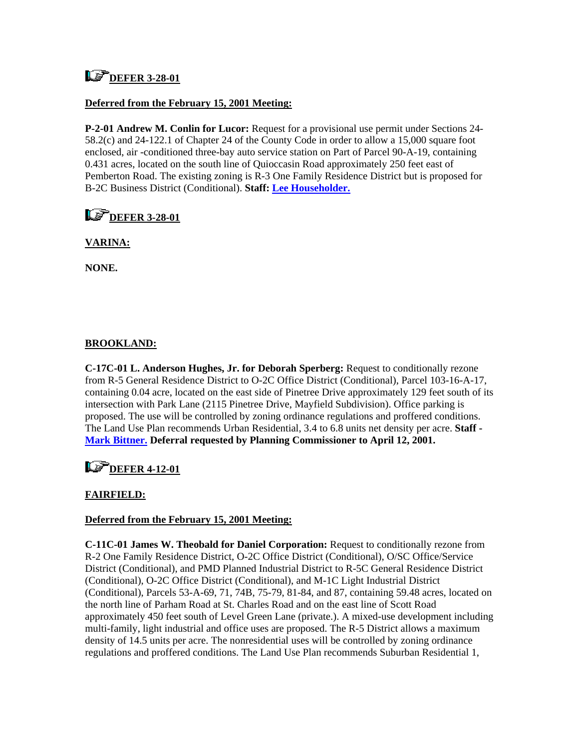## **LS** DEFER 3-28-01

#### **Deferred from the February 15, 2001 Meeting:**

**P-2-01 Andrew M. Conlin for Lucor:** Request for a provisional use permit under Sections 24- 58.2(c) and 24-122.1 of Chapter 24 of the County Code in order to allow a 15,000 square foot enclosed, air -conditioned three-bay auto service station on Part of Parcel 90-A-19, containing 0.431 acres, located on the south line of Quioccasin Road approximately 250 feet east of Pemberton Road. The existing zoning is R-3 One Family Residence District but is proposed for B-2C Business District (Conditional). **Staff: [Lee Householder.](mailto:hou10@co.henrico.va.us)**

### **L**<sup>P</sup>DEFER 3-28-01

#### **VARINA:**

**NONE.** 

#### **BROOKLAND:**

**C-17C-01 L. Anderson Hughes, Jr. for Deborah Sperberg:** Request to conditionally rezone from R-5 General Residence District to O-2C Office District (Conditional), Parcel 103-16-A-17, containing 0.04 acre, located on the east side of Pinetree Drive approximately 129 feet south of its intersection with Park Lane (2115 Pinetree Drive, Mayfield Subdivision). Office parking is proposed. The use will be controlled by zoning ordinance regulations and proffered conditions. The Land Use Plan recommends Urban Residential, 3.4 to 6.8 units net density per acre. **Staff - [Mark Bittner.](mailto:bit10@co.henrico.va.us) Deferral requested by Planning Commissioner to April 12, 2001.** 

### **LG** DEFER 4-12-01

#### **FAIRFIELD:**

#### **Deferred from the February 15, 2001 Meeting:**

**C-11C-01 James W. Theobald for Daniel Corporation:** Request to conditionally rezone from R-2 One Family Residence District, O-2C Office District (Conditional), O/SC Office/Service District (Conditional), and PMD Planned Industrial District to R-5C General Residence District (Conditional), O-2C Office District (Conditional), and M-1C Light Industrial District (Conditional), Parcels 53-A-69, 71, 74B, 75-79, 81-84, and 87, containing 59.48 acres, located on the north line of Parham Road at St. Charles Road and on the east line of Scott Road approximately 450 feet south of Level Green Lane (private.). A mixed-use development including multi-family, light industrial and office uses are proposed. The R-5 District allows a maximum density of 14.5 units per acre. The nonresidential uses will be controlled by zoning ordinance regulations and proffered conditions. The Land Use Plan recommends Suburban Residential 1,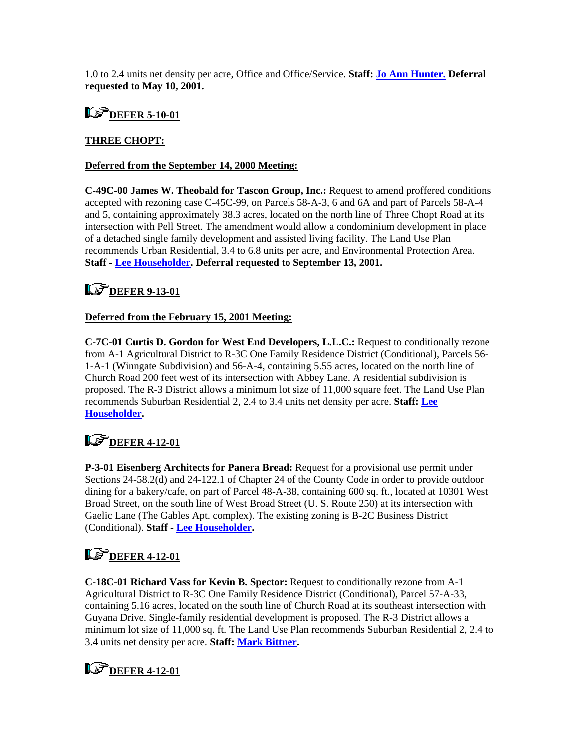1.0 to 2.4 units net density per acre, Office and Office/Service. **Staff: [Jo Ann Hunter.](mailto:hun30@co.henrico.va.us) Deferral requested to May 10, 2001.** 

### **L**<sup>F</sup> DEFER 5-10-01

#### **THREE CHOPT:**

#### **Deferred from the September 14, 2000 Meeting:**

**C-49C-00 James W. Theobald for Tascon Group, Inc.:** Request to amend proffered conditions accepted with rezoning case C-45C-99, on Parcels 58-A-3, 6 and 6A and part of Parcels 58-A-4 and 5, containing approximately 38.3 acres, located on the north line of Three Chopt Road at its intersection with Pell Street. The amendment would allow a condominium development in place of a detached single family development and assisted living facility. The Land Use Plan recommends Urban Residential, 3.4 to 6.8 units per acre, and Environmental Protection Area. **Staff - [Lee Householder](mailto:hou10@co.henrico.va.us). Deferral requested to September 13, 2001.** 

### **LS** DEFER 9-13-01

#### **Deferred from the February 15, 2001 Meeting:**

**C-7C-01 Curtis D. Gordon for West End Developers, L.L.C.:** Request to conditionally rezone from A-1 Agricultural District to R-3C One Family Residence District (Conditional), Parcels 56- 1-A-1 (Winngate Subdivision) and 56-A-4, containing 5.55 acres, located on the north line of Church Road 200 feet west of its intersection with Abbey Lane. A residential subdivision is proposed. The R-3 District allows a minimum lot size of 11,000 square feet. The Land Use Plan recommends Suburban Residential 2, 2.4 to 3.4 units net density per acre. **Staff: [Lee](mailto:hou10@co.henrico.va.us)  [Householder.](mailto:hou10@co.henrico.va.us)** 

### **LS** DEFER 4-12-01

**P-3-01 Eisenberg Architects for Panera Bread:** Request for a provisional use permit under Sections 24-58.2(d) and 24-122.1 of Chapter 24 of the County Code in order to provide outdoor dining for a bakery/cafe, on part of Parcel 48-A-38, containing 600 sq. ft., located at 10301 West Broad Street, on the south line of West Broad Street (U. S. Route 250) at its intersection with Gaelic Lane (The Gables Apt. complex). The existing zoning is B-2C Business District (Conditional). **Staff - [Lee Householder](mailto:hou10@co.henrico.va.us).** 

# **LS** DEFER 4-12-01

**C-18C-01 Richard Vass for Kevin B. Spector:** Request to conditionally rezone from A-1 Agricultural District to R-3C One Family Residence District (Conditional), Parcel 57-A-33, containing 5.16 acres, located on the south line of Church Road at its southeast intersection with Guyana Drive. Single-family residential development is proposed. The R-3 District allows a minimum lot size of 11,000 sq. ft. The Land Use Plan recommends Suburban Residential 2, 2.4 to 3.4 units net density per acre. **Staff: [Mark Bittner](mailto:bit10@co.henrico.va.us).** 

## **L**<sup>F</sup>DEFER 4-12-01